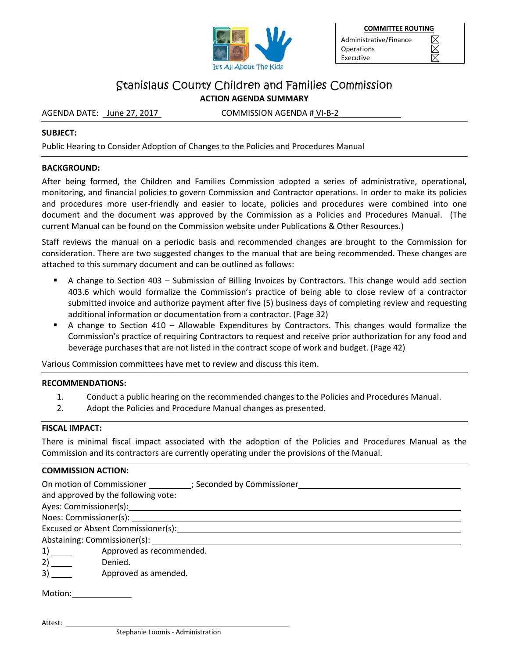

**COMMITTEE ROUTING**  Administrative/Finance IX Operations  $\boxtimes$ Executive

# Stanislaus County Children and Families Commission **ACTION AGENDA SUMMARY**

AGENDA DATE: June 27, 2017 COMMISSION AGENDA # VI-B-2

### **SUBJECT:**

Public Hearing to Consider Adoption of Changes to the Policies and Procedures Manual

### **BACKGROUND:**

After being formed, the Children and Families Commission adopted a series of administrative, operational, monitoring, and financial policies to govern Commission and Contractor operations. In order to make its policies and procedures more user-friendly and easier to locate, policies and procedures were combined into one document and the document was approved by the Commission as a Policies and Procedures Manual. (The current Manual can be found on the Commission website under Publications & Other Resources.)

Staff reviews the manual on a periodic basis and recommended changes are brought to the Commission for consideration. There are two suggested changes to the manual that are being recommended. These changes are attached to this summary document and can be outlined as follows:

- A change to Section 403 Submission of Billing Invoices by Contractors. This change would add section 403.6 which would formalize the Commission's practice of being able to close review of a contractor submitted invoice and authorize payment after five (5) business days of completing review and requesting additional information or documentation from a contractor. (Page 32)
- A change to Section 410 Allowable Expenditures by Contractors. This changes would formalize the Commission's practice of requiring Contractors to request and receive prior authorization for any food and beverage purchases that are not listed in the contract scope of work and budget. (Page 42)

Various Commission committees have met to review and discuss this item.

### **RECOMMENDATIONS:**

- 1. Conduct a public hearing on the recommended changes to the Policies and Procedures Manual.
- 2. Adopt the Policies and Procedure Manual changes as presented.

### **FISCAL IMPACT:**

There is minimal fiscal impact associated with the adoption of the Policies and Procedures Manual as the Commission and its contractors are currently operating under the provisions of the Manual.

## **COMMISSION ACTION:**

| On motion of Commissioner (3) Seconded by Commissioner<br>and approved by the following vote:                                                                                                                                  |                          |
|--------------------------------------------------------------------------------------------------------------------------------------------------------------------------------------------------------------------------------|--------------------------|
| Ayes: Commissioner(s): Note and the set of the set of the set of the set of the set of the set of the set of the set of the set of the set of the set of the set of the set of the set of the set of the set of the set of the |                          |
|                                                                                                                                                                                                                                |                          |
| Excused or Absent Commissioner(s):                                                                                                                                                                                             |                          |
|                                                                                                                                                                                                                                |                          |
|                                                                                                                                                                                                                                | Approved as recommended. |
| 2)                                                                                                                                                                                                                             | Denied.                  |
| 3)                                                                                                                                                                                                                             | Approved as amended.     |

Motion:

Attest: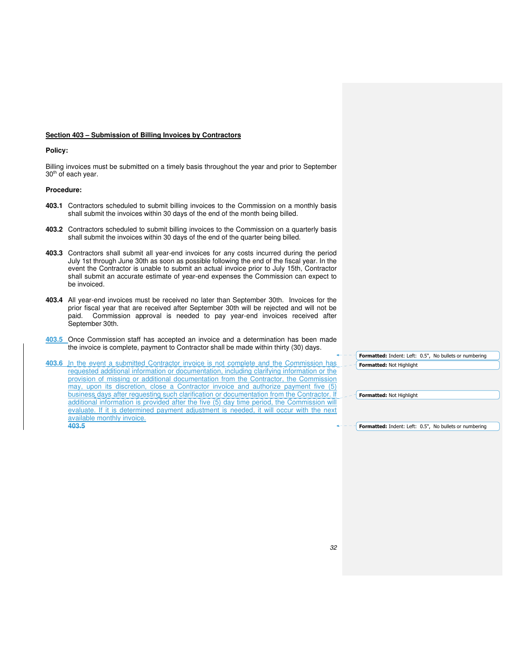#### **Section 403 – Submission of Billing Invoices by Contractors**

#### **Policy:**

Billing invoices must be submitted on a timely basis throughout the year and prior to September 30<sup>th</sup> of each year.

#### **Procedure:**

- **403.1** Contractors scheduled to submit billing invoices to the Commission on a monthly basis shall submit the invoices within 30 days of the end of the month being billed.
- **403.2** Contractors scheduled to submit billing invoices to the Commission on a quarterly basis shall submit the invoices within 30 days of the end of the quarter being billed.
- **403.3** Contractors shall submit all year-end invoices for any costs incurred during the period July 1st through June 30th as soon as possible following the end of the fiscal year. In the event the Contractor is unable to submit an actual invoice prior to July 15th, Contractor shall submit an accurate estimate of year-end expenses the Commission can expect to be invoiced.
- **403.4** All year-end invoices must be received no later than September 30th. Invoices for the prior fiscal year that are received after September 30th will be rejected and will not be paid. Commission approval is needed to pay year-end invoices received after September 30th.
- **403.5** Once Commission staff has accepted an invoice and a determination has been made the invoice is complete, payment to Contractor shall be made within thirty (30) days.

**403.6** In the event a submitted Contractor invoice is not complete and the Commission has requested additional information or documentation, including clarifying information or the provision of missing or additional documentation from the Contractor, the Commission may, upon its discretion, close a Contractor invoice and authorize payment five (5) business days after requesting such clarification or documentation from the Contractor. If additional information is provided after the five (5) day time period, the Commission will evaluate. If it is determined payment adjustment is needed, it will occur with the next available monthly invoice. **403.5**

**Formatted:** Indent: Left: 0.5", No bullets or numbering **Formatted:** Not Highlight

**Formatted:** Not Highlight

**Formatted:** Indent: Left: 0.5", No bullets or numbering